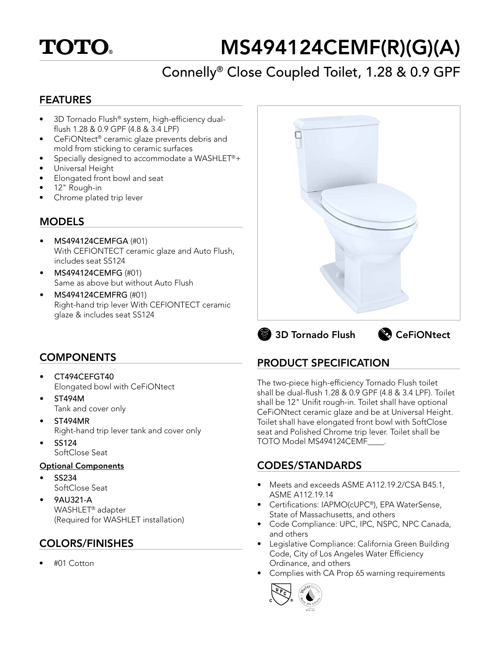# **TOTO**

# MS494124CEMF(R)(G)(A)

# Connelly® Close Coupled Toilet, 1.28 & 0.9 GPF

### FEATURES

- 3D Tornado Flush® system, high-efficiency dualflush 1.28 & 0.9 GPF (4.8 & 3.4 LPF)
- CeFiONtect® ceramic glaze prevents debris and mold from sticking to ceramic surfaces
- Specially designed to accommodate a WASHLET®+
- Universal Height
- Elongated front bowl and seat
- 12" Rough-in
- Chrome plated trip lever

### **MODELS**

- MS494124CEMFGA (#01) With CEFIONTECT ceramic glaze and Auto Flush, includes seat SS124
- MS494124CEMFG (#01) Same as above but without Auto Flush
- MS494124CEMFRG (#01) Right-hand trip lever With CEFIONTECT ceramic glaze & includes seat SS124



# 3D Tornado Flush & CeFiONtect

## **COMPONENTS**

- CT494CEFGT40 Elongated bowl with CeFiONtect
- ST494M Tank and cover only
- ST494MR Right-hand trip lever tank and cover only
- SS124 SoftClose Seat

#### Optional Components

- SS234 SoftClose Seat
- 9AU321-A WASHLET® adapter (Required for WASHLET installation)

# COLORS/FINISHES

• #01 Cotton

# PRODUCT SPECIFICATION

The two-piece high-efficiency Tornado Flush toilet shall be dual-flush 1.28 & 0.9 GPF (4.8 & 3.4 LPF). Toilet shall be 12" Unifit rough-in. Toilet shall have optional CeFiONtect ceramic glaze and be at Universal Height. Toilet shall have elongated front bowl with SoftClose seat and Polished Chrome trip lever. Toilet shall be TOTO Model MS494124CEMF\_\_\_\_.

## CODES/STANDARDS

- Meets and exceeds ASME A112.19.2/CSA B45.1, ASME A112.19.14
- Certifications: IAPMO(cUPC®), EPA WaterSense, State of Massachusetts, and others
- Code Compliance: UPC, IPC, NSPC, NPC Canada, and others
- Legislative Compliance: California Green Building Code, City of Los Angeles Water Efficiency Ordinance, and others
- Complies with CA Prop 65 warning requirements